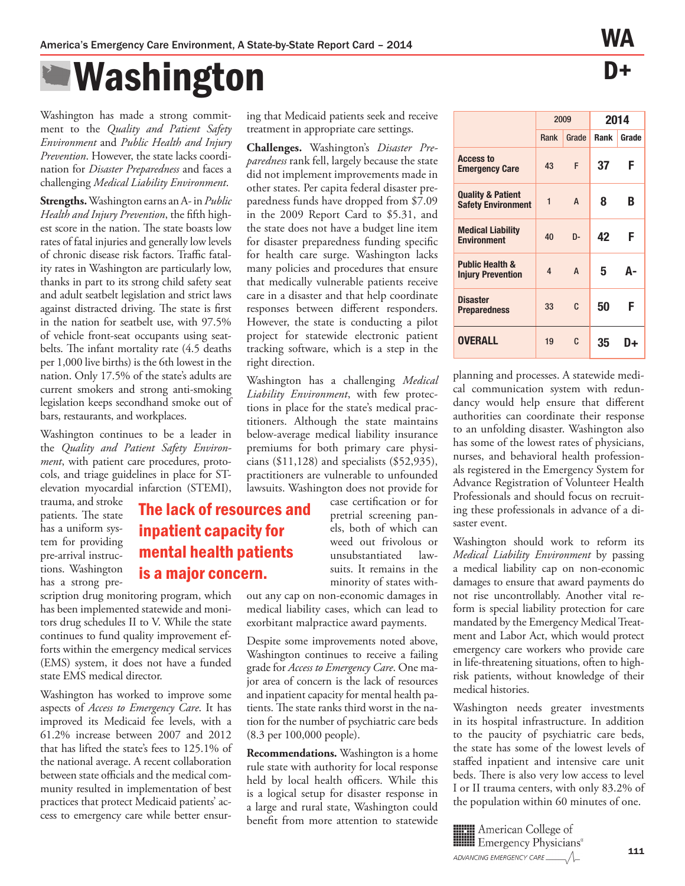The lack of resources and

inpatient capacity for mental health patients

## $\blacksquare$  Washington

Washington has made a strong commitment to the *Quality and Patient Safety Environment* and *Public Health and Injury Prevention*. However, the state lacks coordination for *Disaster Preparedness* and faces a challenging *Medical Liability Environment*.

**Strengths.** Washington earns an A- in *Public*  Health and Injury Prevention, the fifth highest score in the nation. The state boasts low rates of fatal injuries and generally low levels of chronic disease risk factors. Traffic fatality rates in Washington are particularly low, thanks in part to its strong child safety seat and adult seatbelt legislation and strict laws against distracted driving. The state is first in the nation for seatbelt use, with 97.5% of vehicle front-seat occupants using seatbelts. The infant mortality rate (4.5 deaths per 1,000 live births) is the 6th lowest in the nation. Only 17.5% of the state's adults are current smokers and strong anti-smoking legislation keeps secondhand smoke out of bars, restaurants, and workplaces.

Washington continues to be a leader in the *Quality and Patient Safety Environment*, with patient care procedures, protocols, and triage guidelines in place for STelevation myocardial infarction (STEMI),

trauma, and stroke patients. The state has a uniform system for providing pre-arrival instructions. Washington has a strong pre-

scription drug monitoring program, which has been implemented statewide and monitors drug schedules II to V. While the state continues to fund quality improvement efforts within the emergency medical services (EMS) system, it does not have a funded state EMS medical director. is a major concern.

Washington has worked to improve some aspects of *Access to Emergency Care*. It has improved its Medicaid fee levels, with a 61.2% increase between 2007 and 2012 that has lifted the state's fees to 125.1% of the national average. A recent collaboration between state officials and the medical community resulted in implementation of best practices that protect Medicaid patients' access to emergency care while better ensuring that Medicaid patients seek and receive treatment in appropriate care settings.

**Challenges.** Washington's *Disaster Preparedness* rank fell, largely because the state did not implement improvements made in other states. Per capita federal disaster preparedness funds have dropped from \$7.09 in the 2009 Report Card to \$5.31, and the state does not have a budget line item for disaster preparedness funding specific for health care surge. Washington lacks many policies and procedures that ensure that medically vulnerable patients receive care in a disaster and that help coordinate responses between different responders. However, the state is conducting a pilot project for statewide electronic patient tracking software, which is a step in the right direction.

Washington has a challenging *Medical Liability Environment*, with few protections in place for the state's medical practitioners. Although the state maintains below-average medical liability insurance premiums for both primary care physicians (\$11,128) and specialists (\$52,935), practitioners are vulnerable to unfounded lawsuits. Washington does not provide for

> case certification or for pretrial screening panels, both of which can weed out frivolous or unsubstantiated lawsuits. It remains in the minority of states with-

out any cap on non-economic damages in medical liability cases, which can lead to exorbitant malpractice award payments.

Despite some improvements noted above, Washington continues to receive a failing grade for *Access to Emergency Care*. One major area of concern is the lack of resources and inpatient capacity for mental health patients. The state ranks third worst in the nation for the number of psychiatric care beds (8.3 per 100,000 people).

**Recommendations.** Washington is a home rule state with authority for local response held by local health officers. While this is a logical setup for disaster response in a large and rural state, Washington could benefit from more attention to statewide

|                                                           | 2009                    |                | 2014        |       |
|-----------------------------------------------------------|-------------------------|----------------|-------------|-------|
|                                                           | Rank                    | Grade          | <b>Rank</b> | Grade |
| <b>Access to</b><br><b>Emergency Care</b>                 | 43                      | F              | 37          | F     |
| <b>Quality &amp; Patient</b><br><b>Safety Environment</b> | $\overline{\mathbf{1}}$ | A              | 8           | В     |
| <b>Medical Liability</b><br><b>Environment</b>            | 40                      | $D -$          | 42          | F     |
| <b>Public Health &amp;</b><br><b>Injury Prevention</b>    | 4                       | $\overline{A}$ | 5           | Δ-    |
| <b>Disaster</b><br><b>Preparedness</b>                    | 33                      | C              | 50          | F     |
| OVERALL                                                   | 19                      | C              | 35          | ⊾נו   |

planning and processes. A statewide medical communication system with redundancy would help ensure that different authorities can coordinate their response to an unfolding disaster. Washington also has some of the lowest rates of physicians, nurses, and behavioral health professionals registered in the Emergency System for Advance Registration of Volunteer Health Professionals and should focus on recruiting these professionals in advance of a disaster event.

Washington should work to reform its *Medical Liability Environment* by passing a medical liability cap on non-economic damages to ensure that award payments do not rise uncontrollably. Another vital reform is special liability protection for care mandated by the Emergency Medical Treatment and Labor Act, which would protect emergency care workers who provide care in life-threatening situations, often to highrisk patients, without knowledge of their medical histories.

Washington needs greater investments in its hospital infrastructure. In addition to the paucity of psychiatric care beds, the state has some of the lowest levels of staffed inpatient and intensive care unit beds. There is also very low access to level I or II trauma centers, with only 83.2% of the population within 60 minutes of one.

**HEII** American College of Emergency Physicians®